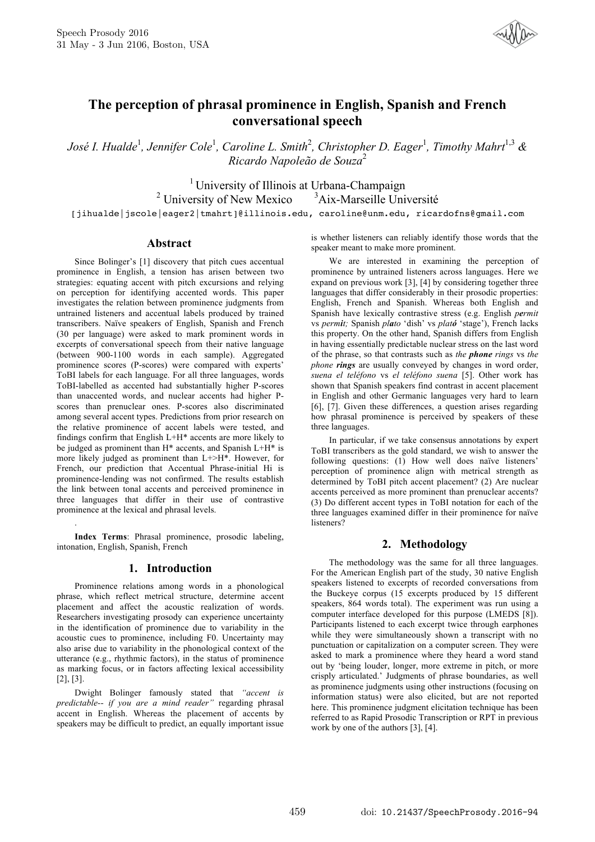

# **The perception of phrasal prominence in English, Spanish and French conversational speech**

*José I. Hualde*<sup>1</sup> *, Jennifer Cole*<sup>1</sup> *, Caroline L. Smith*<sup>2</sup> *, Christopher D. Eager*<sup>1</sup> *, Timothy Mahrt*1,3 *& Ricardo Napoleão de Souza* 2

<sup>1</sup> University of Illinois at Urbana-Champaign <sup>2</sup> University of New Mexico  $3A$ ix-Marseille Université [jihualde|jscole|eager2|tmahrt]@illinois.edu, caroline@unm.edu, ricardofns@gmail.com

## **Abstract**

Since Bolinger's [1] discovery that pitch cues accentual prominence in English, a tension has arisen between two strategies: equating accent with pitch excursions and relying on perception for identifying accented words. This paper investigates the relation between prominence judgments from untrained listeners and accentual labels produced by trained transcribers. Naïve speakers of English, Spanish and French (30 per language) were asked to mark prominent words in excerpts of conversational speech from their native language (between 900-1100 words in each sample). Aggregated prominence scores (P-scores) were compared with experts' ToBI labels for each language. For all three languages, words ToBI-labelled as accented had substantially higher P-scores than unaccented words, and nuclear accents had higher Pscores than prenuclear ones. P-scores also discriminated among several accent types. Predictions from prior research on the relative prominence of accent labels were tested, and findings confirm that English L+H\* accents are more likely to be judged as prominent than H\* accents, and Spanish L+H\* is more likely judged as prominent than L+>H\*. However, for French, our prediction that Accentual Phrase-initial Hi is prominence-lending was not confirmed. The results establish the link between tonal accents and perceived prominence in three languages that differ in their use of contrastive prominence at the lexical and phrasal levels.

**Index Terms**: Phrasal prominence, prosodic labeling, intonation, English, Spanish, French

.

## **1. Introduction**

Prominence relations among words in a phonological phrase, which reflect metrical structure, determine accent placement and affect the acoustic realization of words. Researchers investigating prosody can experience uncertainty in the identification of prominence due to variability in the acoustic cues to prominence, including F0. Uncertainty may also arise due to variability in the phonological context of the utterance (e.g., rhythmic factors), in the status of prominence as marking focus, or in factors affecting lexical accessibility [2], [3].

Dwight Bolinger famously stated that *"accent is predictable-- if you are a mind reader"* regarding phrasal accent in English. Whereas the placement of accents by speakers may be difficult to predict, an equally important issue is whether listeners can reliably identify those words that the speaker meant to make more prominent.

We are interested in examining the perception of prominence by untrained listeners across languages. Here we expand on previous work [3], [4] by considering together three languages that differ considerably in their prosodic properties: English, French and Spanish. Whereas both English and Spanish have lexically contrastive stress (e.g. English *permit* vs *permit;* Spanish *plato* 'dish' vs *plató* 'stage'), French lacks this property. On the other hand, Spanish differs from English in having essentially predictable nuclear stress on the last word of the phrase, so that contrasts such as *the phone rings* vs *the phone rings* are usually conveyed by changes in word order, *suena el teléfono* vs *el teléfono suena* [5]. Other work has shown that Spanish speakers find contrast in accent placement in English and other Germanic languages very hard to learn [6], [7]. Given these differences, a question arises regarding how phrasal prominence is perceived by speakers of these three languages.

In particular, if we take consensus annotations by expert ToBI transcribers as the gold standard, we wish to answer the following questions: (1) How well does naïve listeners' perception of prominence align with metrical strength as determined by ToBI pitch accent placement? (2) Are nuclear accents perceived as more prominent than prenuclear accents? (3) Do different accent types in ToBI notation for each of the three languages examined differ in their prominence for naïve listeners?

## **2. Methodology**

The methodology was the same for all three languages. For the American English part of the study, 30 native English speakers listened to excerpts of recorded conversations from the Buckeye corpus (15 excerpts produced by 15 different speakers, 864 words total). The experiment was run using a computer interface developed for this purpose (LMEDS [8]). Participants listened to each excerpt twice through earphones while they were simultaneously shown a transcript with no punctuation or capitalization on a computer screen. They were asked to mark a prominence where they heard a word stand out by 'being louder, longer, more extreme in pitch, or more crisply articulated.' Judgments of phrase boundaries, as well as prominence judgments using other instructions (focusing on information status) were also elicited, but are not reported here. This prominence judgment elicitation technique has been referred to as Rapid Prosodic Transcription or RPT in previous work by one of the authors [3], [4].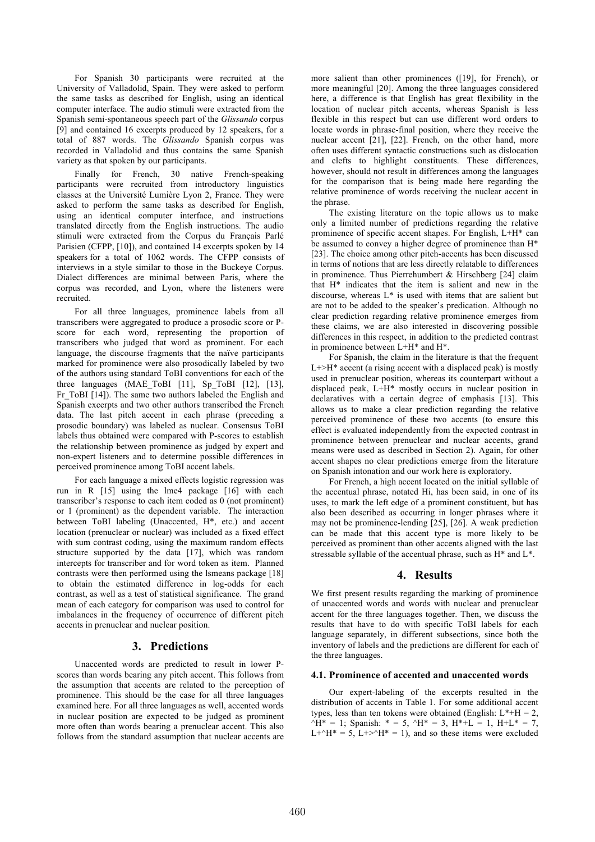For Spanish 30 participants were recruited at the University of Valladolid, Spain. They were asked to perform the same tasks as described for English, using an identical computer interface. The audio stimuli were extracted from the Spanish semi-spontaneous speech part of the *Glissando* corpus [9] and contained 16 excerpts produced by 12 speakers, for a total of 887 words. The *Glissando* Spanish corpus was recorded in Valladolid and thus contains the same Spanish variety as that spoken by our participants.

Finally for French, 30 native French-speaking participants were recruited from introductory linguistics classes at the Université Lumière Lyon 2, France. They were asked to perform the same tasks as described for English, using an identical computer interface, and instructions translated directly from the English instructions. The audio stimuli were extracted from the Corpus du Français Parlé Parisien (CFPP, [10]), and contained 14 excerpts spoken by 14 speakers for a total of 1062 words. The CFPP consists of interviews in a style similar to those in the Buckeye Corpus. Dialect differences are minimal between Paris, where the corpus was recorded, and Lyon, where the listeners were recruited.

For all three languages, prominence labels from all transcribers were aggregated to produce a prosodic score or Pscore for each word, representing the proportion of transcribers who judged that word as prominent. For each language, the discourse fragments that the naïve participants marked for prominence were also prosodically labeled by two of the authors using standard ToBI conventions for each of the three languages (MAE ToBI [11], Sp ToBI [12], [13], Fr ToBI [14]). The same two authors labeled the English and Spanish excerpts and two other authors transcribed the French data. The last pitch accent in each phrase (preceding a prosodic boundary) was labeled as nuclear. Consensus ToBI labels thus obtained were compared with P-scores to establish the relationship between prominence as judged by expert and non-expert listeners and to determine possible differences in perceived prominence among ToBI accent labels.

For each language a mixed effects logistic regression was run in R [15] using the lme4 package [16] with each transcriber's response to each item coded as 0 (not prominent) or 1 (prominent) as the dependent variable. The interaction between ToBI labeling (Unaccented, H\*, etc.) and accent location (prenuclear or nuclear) was included as a fixed effect with sum contrast coding, using the maximum random effects structure supported by the data [17], which was random intercepts for transcriber and for word token as item. Planned contrasts were then performed using the lsmeans package [18] to obtain the estimated difference in log-odds for each contrast, as well as a test of statistical significance. The grand mean of each category for comparison was used to control for imbalances in the frequency of occurrence of different pitch accents in prenuclear and nuclear position.

## **3. Predictions**

Unaccented words are predicted to result in lower Pscores than words bearing any pitch accent. This follows from the assumption that accents are related to the perception of prominence. This should be the case for all three languages examined here. For all three languages as well, accented words in nuclear position are expected to be judged as prominent more often than words bearing a prenuclear accent. This also follows from the standard assumption that nuclear accents are more salient than other prominences ([19], for French), or more meaningful [20]. Among the three languages considered here, a difference is that English has great flexibility in the location of nuclear pitch accents, whereas Spanish is less flexible in this respect but can use different word orders to locate words in phrase-final position, where they receive the nuclear accent [21], [22]. French, on the other hand, more often uses different syntactic constructions such as dislocation and clefts to highlight constituents. These differences, however, should not result in differences among the languages for the comparison that is being made here regarding the relative prominence of words receiving the nuclear accent in the phrase.

The existing literature on the topic allows us to make only a limited number of predictions regarding the relative prominence of specific accent shapes. For English, L+H\* can be assumed to convey a higher degree of prominence than H\* [23]. The choice among other pitch-accents has been discussed in terms of notions that are less directly relatable to differences in prominence. Thus Pierrehumbert & Hirschberg [24] claim that H\* indicates that the item is salient and new in the discourse, whereas L\* is used with items that are salient but are not to be added to the speaker's predication. Although no clear prediction regarding relative prominence emerges from these claims, we are also interested in discovering possible differences in this respect, in addition to the predicted contrast in prominence between L+H\* and H\*.

For Spanish, the claim in the literature is that the frequent  $L \rightarrow H^*$  accent (a rising accent with a displaced peak) is mostly used in prenuclear position, whereas its counterpart without a displaced peak, L+H\* mostly occurs in nuclear position in declaratives with a certain degree of emphasis [13]. This allows us to make a clear prediction regarding the relative perceived prominence of these two accents (to ensure this effect is evaluated independently from the expected contrast in prominence between prenuclear and nuclear accents, grand means were used as described in Section 2). Again, for other accent shapes no clear predictions emerge from the literature on Spanish intonation and our work here is exploratory.

For French, a high accent located on the initial syllable of the accentual phrase, notated Hi, has been said, in one of its uses, to mark the left edge of a prominent constituent, but has also been described as occurring in longer phrases where it may not be prominence-lending [25], [26]. A weak prediction can be made that this accent type is more likely to be perceived as prominent than other accents aligned with the last stressable syllable of the accentual phrase, such as H\* and L\*.

## **4. Results**

We first present results regarding the marking of prominence of unaccented words and words with nuclear and prenuclear accent for the three languages together. Then, we discuss the results that have to do with specific ToBI labels for each language separately, in different subsections, since both the inventory of labels and the predictions are different for each of the three languages.

#### **4.1. Prominence of accented and unaccented words**

Our expert-labeling of the excerpts resulted in the distribution of accents in Table 1. For some additional accent types, less than ten tokens were obtained (English:  $L^* + H = 2$ ,  $^{\circ}$ H<sup>\*</sup> = 1; Spanish: \* = 5,  $^{\circ}$ H<sup>\*</sup> = 3, H<sup>\*</sup>+L = 1, H+L<sup>\*</sup> = 7,  $L+\gamma H^* = 5$ ,  $L+\gamma H^* = 1$ , and so these items were excluded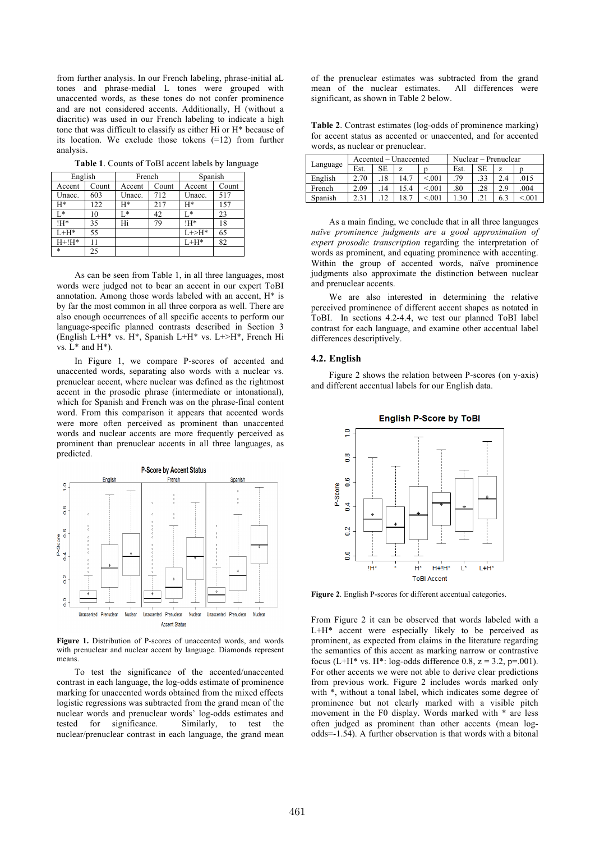from further analysis. In our French labeling, phrase-initial aL tones and phrase-medial L tones were grouped with unaccented words, as these tones do not confer prominence and are not considered accents. Additionally, H (without a diacritic) was used in our French labeling to indicate a high tone that was difficult to classify as either Hi or H\* because of its location. We exclude those tokens (=12) from further analysis.

**Table 1**. Counts of ToBI accent labels by language

| English  |       | French |       | Spanish     |       |  |
|----------|-------|--------|-------|-------------|-------|--|
| Accent   | Count | Accent | Count | Accent      | Count |  |
| Unacc.   | 603   | Unacc. | 712   | Unacc.      | 517   |  |
| H*       | 122   | $H^*$  | 217   | H*          | 157   |  |
| $L^*$    | 10    | L*     | 42    | Ī.*         | 23    |  |
| !H*      | 35    | Hi     | 79    | IH*         | 18    |  |
| $L+H^*$  | 55    |        |       | $L + > H^*$ | 65    |  |
| $H+!H^*$ | 11    |        |       | $L+H^*$     | 82    |  |
| *        | 25    |        |       |             |       |  |

As can be seen from Table 1, in all three languages, most words were judged not to bear an accent in our expert ToBI annotation. Among those words labeled with an accent, H\* is by far the most common in all three corpora as well. There are also enough occurrences of all specific accents to perform our language-specific planned contrasts described in Section 3 (English L+H\* vs. H\*, Spanish L+H\* vs. L+>H\*, French Hi vs.  $L^*$  and  $H^*$ ).

In Figure 1, we compare P-scores of accented and unaccented words, separating also words with a nuclear vs. prenuclear accent, where nuclear was defined as the rightmost accent in the prosodic phrase (intermediate or intonational), which for Spanish and French was on the phrase-final content word. From this comparison it appears that accented words were more often perceived as prominent than unaccented words and nuclear accents are more frequently perceived as prominent than prenuclear accents in all three languages, as predicted.



**Figure 1.** Distribution of P-scores of unaccented words, and words with prenuclear and nuclear accent by language. Diamonds represent means.

To test the significance of the accented/unaccented contrast in each language, the log-odds estimate of prominence marking for unaccented words obtained from the mixed effects logistic regressions was subtracted from the grand mean of the nuclear words and prenuclear words' log-odds estimates and tested for significance. Similarly, to test the nuclear/prenuclear contrast in each language, the grand mean of the prenuclear estimates was subtracted from the grand mean of the nuclear estimates. All differences were significant, as shown in Table 2 below.

**Table 2**. Contrast estimates (log-odds of prominence marking) for accent status as accented or unaccented, and for accented words, as nuclear or prenuclear.

| Language | Accented – Unaccented |    |      | Nuclear – Prenuclear |      |     |     |        |
|----------|-----------------------|----|------|----------------------|------|-----|-----|--------|
|          | Est.                  | SЕ | Z    |                      | Est. | SE  | Z   |        |
| English  | 2.70                  |    | 14.7 | < 0.01               | .79  | .33 | 2.4 | .015   |
| French   | 2.09                  | 14 | 5.4  | < 0.01               | .80  | 28  | 2.9 | .004   |
| Spanish  | 31                    |    | 8.7  | < 0.01               | 30   |     | 6.3 | < 0.01 |

As a main finding, we conclude that in all three languages *naïve prominence judgments are a good approximation of expert prosodic transcription* regarding the interpretation of words as prominent, and equating prominence with accenting. Within the group of accented words, naïve prominence judgments also approximate the distinction between nuclear and prenuclear accents.

We are also interested in determining the relative perceived prominence of different accent shapes as notated in ToBI. In sections 4.2-4.4, we test our planned ToBI label contrast for each language, and examine other accentual label differences descriptively.

#### **4.2. English**

Figure 2 shows the relation between P-scores (on y-axis) and different accentual labels for our English data.



**English P-Score by ToBI** 

**Figure 2**. English P-scores for different accentual categories.

From Figure 2 it can be observed that words labeled with a L+H\* accent were especially likely to be perceived as prominent, as expected from claims in the literature regarding the semantics of this accent as marking narrow or contrastive focus (L+H\* vs. H\*: log-odds difference 0.8,  $z = 3.2$ , p=.001). For other accents we were not able to derive clear predictions from previous work. Figure 2 includes words marked only with  $*$ , without a tonal label, which indicates some degree of prominence but not clearly marked with a visible pitch movement in the F0 display. Words marked with \* are less often judged as prominent than other accents (mean logodds=-1.54). A further observation is that words with a bitonal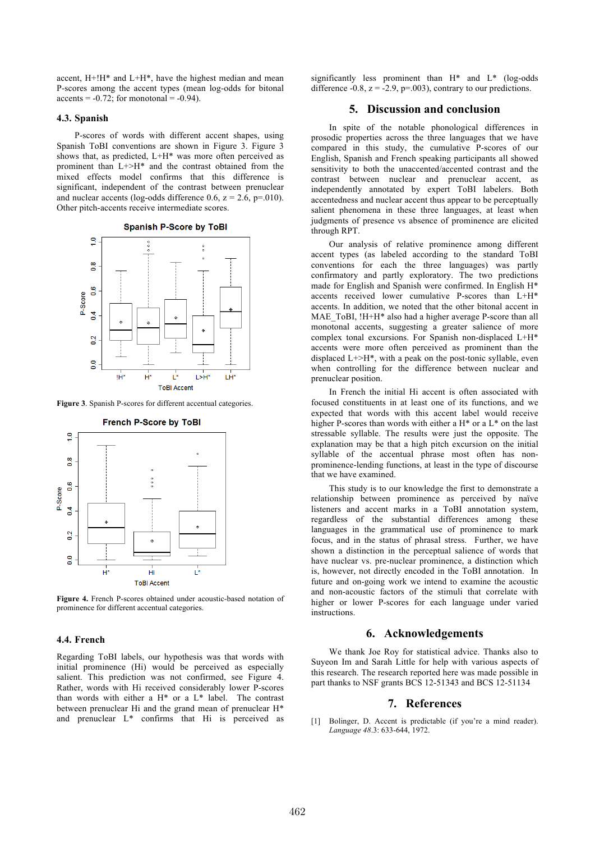accent, H+!H\* and L+H\*, have the highest median and mean P-scores among the accent types (mean log-odds for bitonal  $accents = -0.72$ ; for monotonal =  $-0.94$ ).

#### **4.3. Spanish**

P-scores of words with different accent shapes, using Spanish ToBI conventions are shown in Figure 3. Figure 3 shows that, as predicted, L+H\* was more often perceived as prominent than L+>H\* and the contrast obtained from the mixed effects model confirms that this difference is significant, independent of the contrast between prenuclear and nuclear accents (log-odds difference 0.6,  $z = 2.6$ ,  $p=010$ ). Other pitch-accents receive intermediate scores.

**Spanish P-Score by ToBI** 



**Figure 3**. Spanish P-scores for different accentual categories.



**Figure 4.** French P-scores obtained under acoustic-based notation of prominence for different accentual categories.

#### **4.4. French**

Regarding ToBI labels, our hypothesis was that words with initial prominence (Hi) would be perceived as especially salient. This prediction was not confirmed, see Figure 4. Rather, words with Hi received considerably lower P-scores than words with either a H\* or a L\* label. The contrast between prenuclear Hi and the grand mean of prenuclear H\* and prenuclear L\* confirms that Hi is perceived as significantly less prominent than H\* and L\* (log-odds difference -0.8,  $z = -2.9$ ,  $p = .003$ ), contrary to our predictions.

## **5. Discussion and conclusion**

In spite of the notable phonological differences in prosodic properties across the three languages that we have compared in this study, the cumulative P-scores of our English, Spanish and French speaking participants all showed sensitivity to both the unaccented/accented contrast and the contrast between nuclear and prenuclear accent, as independently annotated by expert ToBI labelers. Both accentedness and nuclear accent thus appear to be perceptually salient phenomena in these three languages, at least when judgments of presence vs absence of prominence are elicited through RPT.

Our analysis of relative prominence among different accent types (as labeled according to the standard ToBI conventions for each the three languages) was partly confirmatory and partly exploratory. The two predictions made for English and Spanish were confirmed. In English H\* accents received lower cumulative P-scores than L+H\* accents. In addition, we noted that the other bitonal accent in MAE\_ToBI, !H+H\* also had a higher average P-score than all monotonal accents, suggesting a greater salience of more complex tonal excursions. For Spanish non-displaced L+H\* accents were more often perceived as prominent than the displaced  $L \rightarrow H^*$ , with a peak on the post-tonic syllable, even when controlling for the difference between nuclear and prenuclear position.

In French the initial Hi accent is often associated with focused constituents in at least one of its functions, and we expected that words with this accent label would receive higher P-scores than words with either a H<sup>\*</sup> or a L<sup>\*</sup> on the last stressable syllable. The results were just the opposite. The explanation may be that a high pitch excursion on the initial syllable of the accentual phrase most often has nonprominence-lending functions, at least in the type of discourse that we have examined.

This study is to our knowledge the first to demonstrate a relationship between prominence as perceived by naïve listeners and accent marks in a ToBI annotation system, regardless of the substantial differences among these languages in the grammatical use of prominence to mark focus, and in the status of phrasal stress. Further, we have shown a distinction in the perceptual salience of words that have nuclear vs. pre-nuclear prominence, a distinction which is, however, not directly encoded in the ToBI annotation. In future and on-going work we intend to examine the acoustic and non-acoustic factors of the stimuli that correlate with higher or lower P-scores for each language under varied instructions.

## **6. Acknowledgements**

We thank Joe Roy for statistical advice. Thanks also to Suyeon Im and Sarah Little for help with various aspects of this research. The research reported here was made possible in part thanks to NSF grants BCS 12-51343 and BCS 12-51134

## **7. References**

[1] Bolinger, D. Accent is predictable (if you're a mind reader). *Language 48*.3: 633-644, 1972.